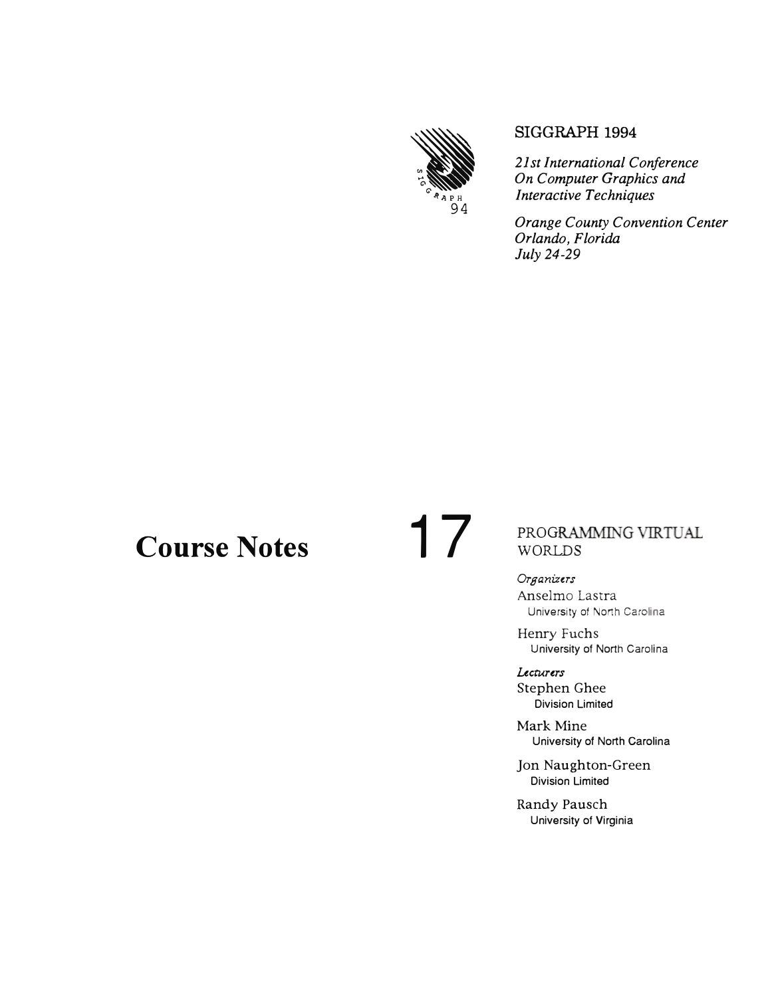

#### SIGGRAPH 1994

*21st International Conference On Computer Graphics and Interactive Techniques* 

*Orange County Convention Center Orlando, Florida July 24-29* 

# **Course Notes 17**

## PROGRAMMING VIRTUAL WORLDS

*Organizers*  Anselmo Lastra University of North **Carolina**

Henry Fuchs University of North Carolina

*Lecturers*  Stephen Ghee Division Limited

Mark Mine University of North Carolina

Jon Naughton-Green Division Limited

Randy Pausch University of Virginia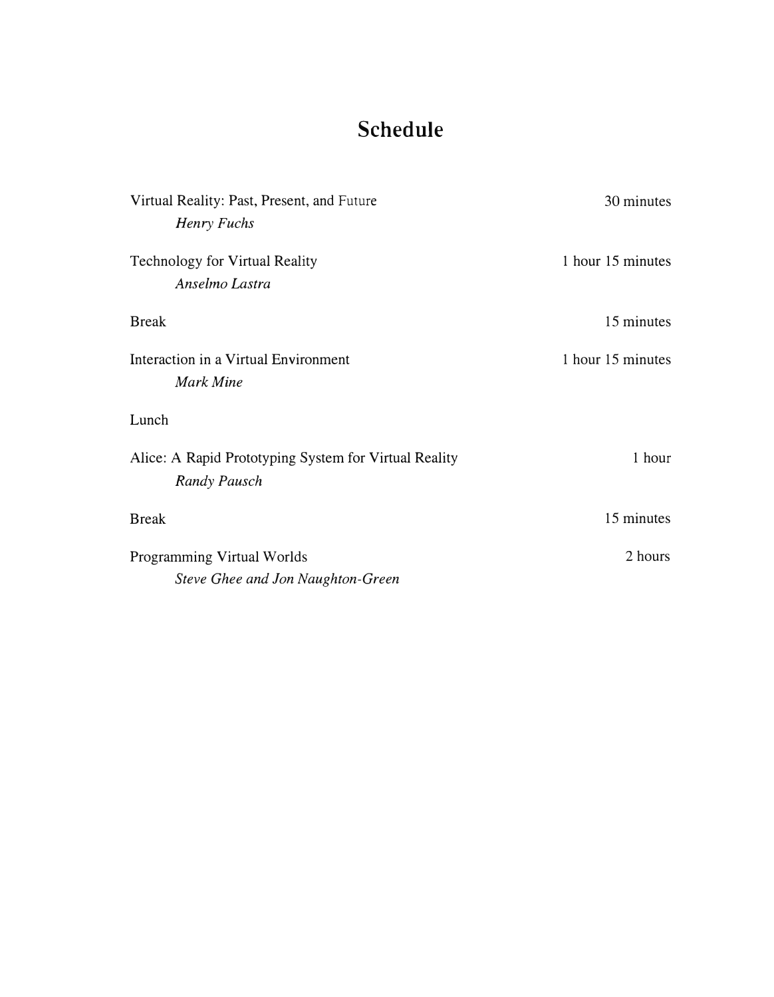# **Schedule**

| Virtual Reality: Past, Present, and Future            | 30 minutes        |
|-------------------------------------------------------|-------------------|
| Henry Fuchs                                           |                   |
| <b>Technology for Virtual Reality</b>                 | 1 hour 15 minutes |
| Anselmo Lastra                                        |                   |
| <b>Break</b>                                          | 15 minutes        |
| Interaction in a Virtual Environment                  | 1 hour 15 minutes |
| <b>Mark Mine</b>                                      |                   |
| Lunch                                                 |                   |
| Alice: A Rapid Prototyping System for Virtual Reality | 1 hour            |
| <b>Randy Pausch</b>                                   |                   |
| <b>Break</b>                                          | 15 minutes        |
| Programming Virtual Worlds                            | 2 hours           |
| Steve Ghee and Jon Naughton-Green                     |                   |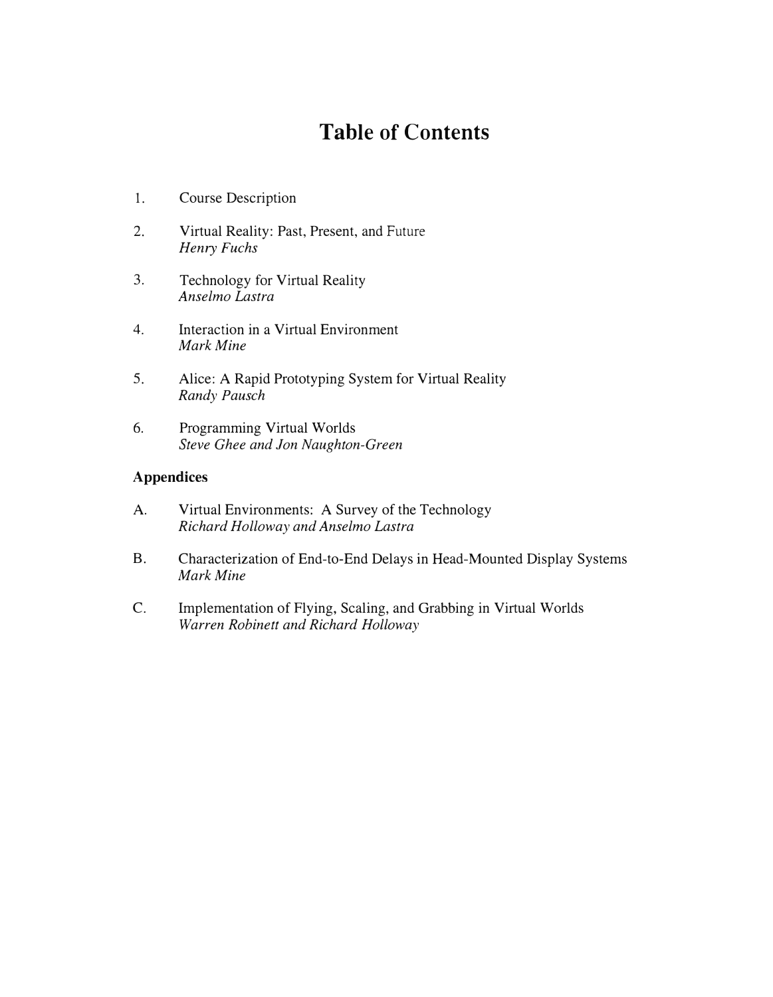## **Table of Contents**

- 1. Course Description
- 2. Virtual Reality: Past, Present, and Future *Henry Fuchs*
- 3. Technology for Virtual Reality *Anselmo Lastra*
- 4. Interaction in a Virtual Environment *Mark Mine*
- 5. Alice: A Rapid Prototyping System for Virtual Reality *Randy Pausch*
- 6. Programming Virtual Worlds *Steve Ghee and Jon Naughton-Green*

### **Appendices**

- A. Virtual Environments: A Survey of the Technology *Richard Holloway and Anselmo Lastra*
- B. Characterization of End-to-End Delays in Head-Mounted Display Systems *Mark Mine*
- C. Implementation of Flying, Scaling, and Grabbing in Virtual Worlds *Warren Robinett and Richard Holloway*